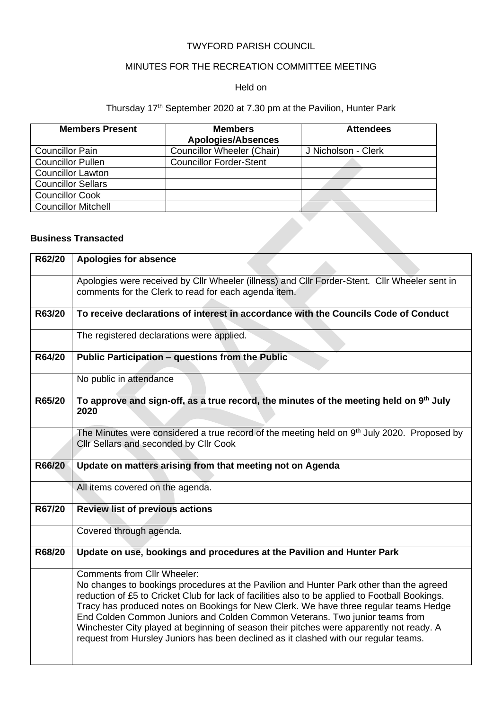### TWYFORD PARISH COUNCIL

# MINUTES FOR THE RECREATION COMMITTEE MEETING

#### Held on

#### Thursday 17<sup>th</sup> September 2020 at 7.30 pm at the Pavilion, Hunter Park

| <b>Members</b><br><b>Apologies/Absences</b> | <b>Attendees</b>    |
|---------------------------------------------|---------------------|
| <b>Councillor Wheeler (Chair)</b>           | J Nicholson - Clerk |
| <b>Councillor Forder-Stent</b>              |                     |
|                                             |                     |
|                                             |                     |
|                                             |                     |
|                                             |                     |
|                                             |                     |
|                                             |                     |

## **Business Transacted**

|        | <b>Business Transacted</b>                                                                                                                                                                                                                                                                                                                                                                                                                                                                                                                                                                   |
|--------|----------------------------------------------------------------------------------------------------------------------------------------------------------------------------------------------------------------------------------------------------------------------------------------------------------------------------------------------------------------------------------------------------------------------------------------------------------------------------------------------------------------------------------------------------------------------------------------------|
| R62/20 | <b>Apologies for absence</b>                                                                                                                                                                                                                                                                                                                                                                                                                                                                                                                                                                 |
|        | Apologies were received by Cllr Wheeler (illness) and Cllr Forder-Stent. Cllr Wheeler sent in<br>comments for the Clerk to read for each agenda item.                                                                                                                                                                                                                                                                                                                                                                                                                                        |
| R63/20 | To receive declarations of interest in accordance with the Councils Code of Conduct                                                                                                                                                                                                                                                                                                                                                                                                                                                                                                          |
|        | The registered declarations were applied.                                                                                                                                                                                                                                                                                                                                                                                                                                                                                                                                                    |
| R64/20 | Public Participation - questions from the Public                                                                                                                                                                                                                                                                                                                                                                                                                                                                                                                                             |
|        | No public in attendance                                                                                                                                                                                                                                                                                                                                                                                                                                                                                                                                                                      |
| R65/20 | To approve and sign-off, as a true record, the minutes of the meeting held on 9th July<br>2020                                                                                                                                                                                                                                                                                                                                                                                                                                                                                               |
|        | The Minutes were considered a true record of the meeting held on $9th$ July 2020. Proposed by<br>Cllr Sellars and seconded by Cllr Cook                                                                                                                                                                                                                                                                                                                                                                                                                                                      |
| R66/20 | Update on matters arising from that meeting not on Agenda                                                                                                                                                                                                                                                                                                                                                                                                                                                                                                                                    |
|        | All items covered on the agenda.                                                                                                                                                                                                                                                                                                                                                                                                                                                                                                                                                             |
| R67/20 | <b>Review list of previous actions</b>                                                                                                                                                                                                                                                                                                                                                                                                                                                                                                                                                       |
|        | Covered through agenda.                                                                                                                                                                                                                                                                                                                                                                                                                                                                                                                                                                      |
| R68/20 | Update on use, bookings and procedures at the Pavilion and Hunter Park                                                                                                                                                                                                                                                                                                                                                                                                                                                                                                                       |
|        | <b>Comments from Cllr Wheeler:</b><br>No changes to bookings procedures at the Pavilion and Hunter Park other than the agreed<br>reduction of £5 to Cricket Club for lack of facilities also to be applied to Football Bookings.<br>Tracy has produced notes on Bookings for New Clerk. We have three regular teams Hedge<br>End Colden Common Juniors and Colden Common Veterans. Two junior teams from<br>Winchester City played at beginning of season their pitches were apparently not ready. A<br>request from Hursley Juniors has been declined as it clashed with our regular teams. |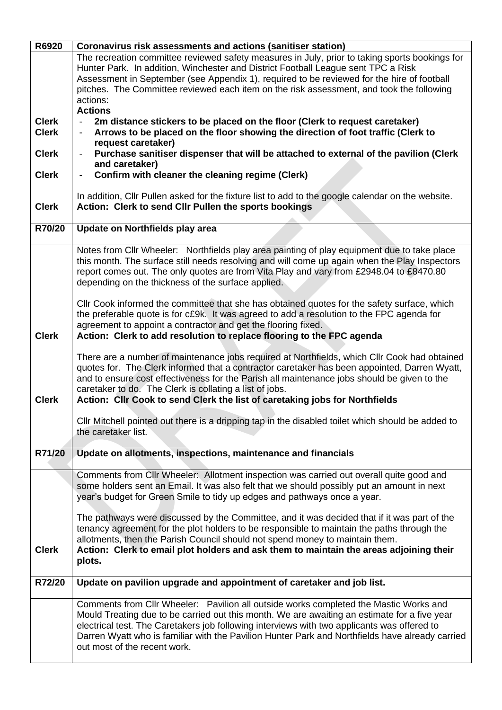| R6920        | Coronavirus risk assessments and actions (sanitiser station)                                                                                                                                 |  |  |  |
|--------------|----------------------------------------------------------------------------------------------------------------------------------------------------------------------------------------------|--|--|--|
|              | The recreation committee reviewed safety measures in July, prior to taking sports bookings for                                                                                               |  |  |  |
|              | Hunter Park. In addition, Winchester and District Football League sent TPC a Risk                                                                                                            |  |  |  |
|              | Assessment in September (see Appendix 1), required to be reviewed for the hire of football                                                                                                   |  |  |  |
|              | pitches. The Committee reviewed each item on the risk assessment, and took the following                                                                                                     |  |  |  |
|              | actions:                                                                                                                                                                                     |  |  |  |
|              | <b>Actions</b>                                                                                                                                                                               |  |  |  |
| <b>Clerk</b> | 2m distance stickers to be placed on the floor (Clerk to request caretaker)                                                                                                                  |  |  |  |
| <b>Clerk</b> | Arrows to be placed on the floor showing the direction of foot traffic (Clerk to                                                                                                             |  |  |  |
|              | request caretaker)                                                                                                                                                                           |  |  |  |
| <b>Clerk</b> | Purchase sanitiser dispenser that will be attached to external of the pavilion (Clerk                                                                                                        |  |  |  |
|              | and caretaker)                                                                                                                                                                               |  |  |  |
| <b>Clerk</b> | Confirm with cleaner the cleaning regime (Clerk)                                                                                                                                             |  |  |  |
|              |                                                                                                                                                                                              |  |  |  |
|              | In addition, Cllr Pullen asked for the fixture list to add to the google calendar on the website.                                                                                            |  |  |  |
| <b>Clerk</b> | Action: Clerk to send Cllr Pullen the sports bookings                                                                                                                                        |  |  |  |
|              |                                                                                                                                                                                              |  |  |  |
| R70/20       | Update on Northfields play area                                                                                                                                                              |  |  |  |
|              |                                                                                                                                                                                              |  |  |  |
|              | Notes from Cllr Wheeler: Northfields play area painting of play equipment due to take place                                                                                                  |  |  |  |
|              | this month. The surface still needs resolving and will come up again when the Play Inspectors                                                                                                |  |  |  |
|              | report comes out. The only quotes are from Vita Play and vary from £2948.04 to £8470.80                                                                                                      |  |  |  |
|              | depending on the thickness of the surface applied.                                                                                                                                           |  |  |  |
|              |                                                                                                                                                                                              |  |  |  |
|              | CIIr Cook informed the committee that she has obtained quotes for the safety surface, which                                                                                                  |  |  |  |
|              | the preferable quote is for c£9k. It was agreed to add a resolution to the FPC agenda for                                                                                                    |  |  |  |
|              | agreement to appoint a contractor and get the flooring fixed.                                                                                                                                |  |  |  |
| <b>Clerk</b> | Action: Clerk to add resolution to replace flooring to the FPC agenda                                                                                                                        |  |  |  |
|              |                                                                                                                                                                                              |  |  |  |
|              | There are a number of maintenance jobs required at Northfields, which Cllr Cook had obtained<br>quotes for. The Clerk informed that a contractor caretaker has been appointed, Darren Wyatt, |  |  |  |
|              | and to ensure cost effectiveness for the Parish all maintenance jobs should be given to the                                                                                                  |  |  |  |
|              |                                                                                                                                                                                              |  |  |  |
| <b>Clerk</b> | caretaker to do. The Clerk is collating a list of jobs.<br>Action: Cllr Cook to send Clerk the list of caretaking jobs for Northfields                                                       |  |  |  |
|              |                                                                                                                                                                                              |  |  |  |
|              | Cllr Mitchell pointed out there is a dripping tap in the disabled toilet which should be added to                                                                                            |  |  |  |
|              | the caretaker list.                                                                                                                                                                          |  |  |  |
|              |                                                                                                                                                                                              |  |  |  |
| R71/20       | Update on allotments, inspections, maintenance and financials                                                                                                                                |  |  |  |
|              |                                                                                                                                                                                              |  |  |  |
|              | Comments from Cllr Wheeler: Allotment inspection was carried out overall quite good and                                                                                                      |  |  |  |
|              | some holders sent an Email. It was also felt that we should possibly put an amount in next                                                                                                   |  |  |  |
|              | year's budget for Green Smile to tidy up edges and pathways once a year.                                                                                                                     |  |  |  |
|              |                                                                                                                                                                                              |  |  |  |
|              | The pathways were discussed by the Committee, and it was decided that if it was part of the                                                                                                  |  |  |  |
|              | tenancy agreement for the plot holders to be responsible to maintain the paths through the                                                                                                   |  |  |  |
|              | allotments, then the Parish Council should not spend money to maintain them.                                                                                                                 |  |  |  |
| <b>Clerk</b> | Action: Clerk to email plot holders and ask them to maintain the areas adjoining their                                                                                                       |  |  |  |
|              | plots.                                                                                                                                                                                       |  |  |  |
|              |                                                                                                                                                                                              |  |  |  |
| R72/20       | Update on pavilion upgrade and appointment of caretaker and job list.                                                                                                                        |  |  |  |
|              |                                                                                                                                                                                              |  |  |  |
|              | Comments from Cllr Wheeler: Pavilion all outside works completed the Mastic Works and                                                                                                        |  |  |  |
|              | Mould Treating due to be carried out this month. We are awaiting an estimate for a five year                                                                                                 |  |  |  |
|              | electrical test. The Caretakers job following interviews with two applicants was offered to                                                                                                  |  |  |  |
|              | Darren Wyatt who is familiar with the Pavilion Hunter Park and Northfields have already carried                                                                                              |  |  |  |
|              | out most of the recent work.                                                                                                                                                                 |  |  |  |
|              |                                                                                                                                                                                              |  |  |  |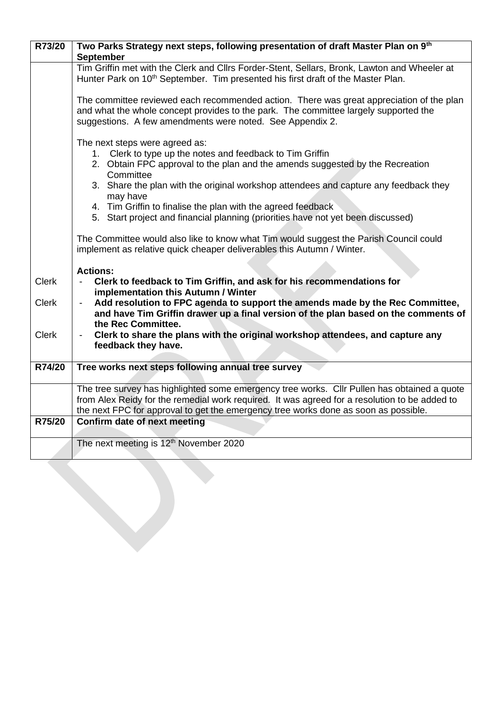| R73/20       | Two Parks Strategy next steps, following presentation of draft Master Plan on 9th             |
|--------------|-----------------------------------------------------------------------------------------------|
|              | <b>September</b>                                                                              |
|              | Tim Griffin met with the Clerk and Cllrs Forder-Stent, Sellars, Bronk, Lawton and Wheeler at  |
|              | Hunter Park on 10 <sup>th</sup> September. Tim presented his first draft of the Master Plan.  |
|              |                                                                                               |
|              | The committee reviewed each recommended action. There was great appreciation of the plan      |
|              | and what the whole concept provides to the park. The committee largely supported the          |
|              | suggestions. A few amendments were noted. See Appendix 2.                                     |
|              |                                                                                               |
|              | The next steps were agreed as:                                                                |
|              | 1. Clerk to type up the notes and feedback to Tim Griffin                                     |
|              | 2. Obtain FPC approval to the plan and the amends suggested by the Recreation                 |
|              | Committee                                                                                     |
|              | 3. Share the plan with the original workshop attendees and capture any feedback they          |
|              | may have<br>4. Tim Griffin to finalise the plan with the agreed feedback                      |
|              | 5. Start project and financial planning (priorities have not yet been discussed)              |
|              |                                                                                               |
|              | The Committee would also like to know what Tim would suggest the Parish Council could         |
|              | implement as relative quick cheaper deliverables this Autumn / Winter.                        |
|              |                                                                                               |
|              | <b>Actions:</b>                                                                               |
| <b>Clerk</b> | Clerk to feedback to Tim Griffin, and ask for his recommendations for                         |
|              | implementation this Autumn / Winter                                                           |
| <b>Clerk</b> | Add resolution to FPC agenda to support the amends made by the Rec Committee,                 |
|              | and have Tim Griffin drawer up a final version of the plan based on the comments of           |
|              | the Rec Committee.                                                                            |
| <b>Clerk</b> | Clerk to share the plans with the original workshop attendees, and capture any                |
|              | feedback they have.                                                                           |
| R74/20       | Tree works next steps following annual tree survey                                            |
|              |                                                                                               |
|              | The tree survey has highlighted some emergency tree works. Cllr Pullen has obtained a quote   |
|              | from Alex Reidy for the remedial work required. It was agreed for a resolution to be added to |
|              | the next FPC for approval to get the emergency tree works done as soon as possible.           |
| R75/20       | Confirm date of next meeting                                                                  |
|              |                                                                                               |
|              | The next meeting is 12 <sup>th</sup> November 2020                                            |
|              |                                                                                               |
|              |                                                                                               |
|              |                                                                                               |
|              |                                                                                               |
|              |                                                                                               |
|              |                                                                                               |
|              |                                                                                               |
|              |                                                                                               |
|              |                                                                                               |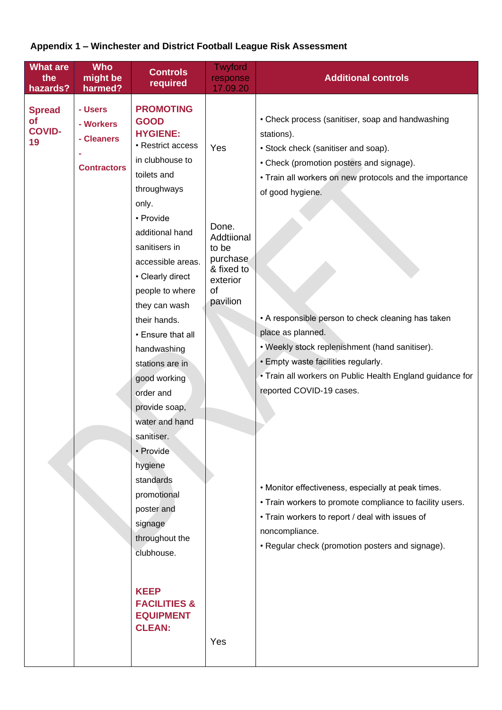# **Appendix 1 – Winchester and District Football League Risk Assessment**

| <b>What are</b><br>the<br>hazards?                | <b>Who</b><br>might be<br>harmed?                        | <b>Controls</b><br>required                                                                                                                                                                                                                                                                                                                                                                                                                                                                                                                                                                                      | <b>Twyford</b><br>response<br>17.09.20                                                             | <b>Additional controls</b>                                                                                                                                                                                                                                                                                                                                                                                                                                                                                                                                                                                                                                                                                                               |
|---------------------------------------------------|----------------------------------------------------------|------------------------------------------------------------------------------------------------------------------------------------------------------------------------------------------------------------------------------------------------------------------------------------------------------------------------------------------------------------------------------------------------------------------------------------------------------------------------------------------------------------------------------------------------------------------------------------------------------------------|----------------------------------------------------------------------------------------------------|------------------------------------------------------------------------------------------------------------------------------------------------------------------------------------------------------------------------------------------------------------------------------------------------------------------------------------------------------------------------------------------------------------------------------------------------------------------------------------------------------------------------------------------------------------------------------------------------------------------------------------------------------------------------------------------------------------------------------------------|
| <b>Spread</b><br><b>of</b><br><b>COVID-</b><br>19 | - Users<br>- Workers<br>- Cleaners<br><b>Contractors</b> | <b>PROMOTING</b><br><b>GOOD</b><br><b>HYGIENE:</b><br>• Restrict access<br>in clubhouse to<br>toilets and<br>throughways<br>only.<br>• Provide<br>additional hand<br>sanitisers in<br>accessible areas.<br>• Clearly direct<br>people to where<br>they can wash<br>their hands.<br>• Ensure that all<br>handwashing<br>stations are in<br>good working<br>order and<br>provide soap,<br>water and hand<br>sanitiser.<br>• Provide<br>hygiene<br>standards<br>promotional<br>poster and<br>signage<br>throughout the<br>clubhouse.<br><b>KEEP</b><br><b>FACILITIES &amp;</b><br><b>EQUIPMENT</b><br><b>CLEAN:</b> | Yes<br>Done.<br>Addtiional<br>to be<br>purchase<br>& fixed to<br>exterior<br>of<br>pavilion<br>Yes | • Check process (sanitiser, soap and handwashing<br>stations).<br>• Stock check (sanitiser and soap).<br>• Check (promotion posters and signage).<br>• Train all workers on new protocols and the importance<br>of good hygiene.<br>• A responsible person to check cleaning has taken<br>place as planned.<br>• Weekly stock replenishment (hand sanitiser).<br>• Empty waste facilities regularly.<br>• Train all workers on Public Health England guidance for<br>reported COVID-19 cases.<br>• Monitor effectiveness, especially at peak times.<br>• Train workers to promote compliance to facility users.<br>• Train workers to report / deal with issues of<br>noncompliance.<br>• Regular check (promotion posters and signage). |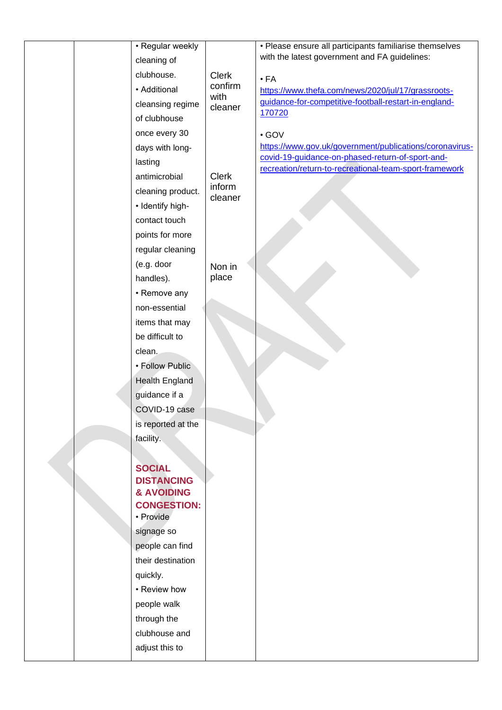|  | • Regular weekly<br>cleaning of   |                         | • Please ensure all participants familiarise themselves<br>with the latest government and FA guidelines: |
|--|-----------------------------------|-------------------------|----------------------------------------------------------------------------------------------------------|
|  | clubhouse.                        |                         |                                                                                                          |
|  | • Additional                      | <b>Clerk</b><br>confirm | $\cdot$ FA<br>https://www.thefa.com/news/2020/jul/17/grassroots-                                         |
|  | cleansing regime                  | with                    | guidance-for-competitive-football-restart-in-england-                                                    |
|  | of clubhouse                      | cleaner                 | 170720                                                                                                   |
|  | once every 30                     |                         |                                                                                                          |
|  | days with long-                   |                         | $\cdot$ GOV<br>https://www.gov.uk/government/publications/coronavirus-                                   |
|  | lasting                           |                         | covid-19-guidance-on-phased-return-of-sport-and-                                                         |
|  | antimicrobial                     | <b>Clerk</b>            | recreation/return-to-recreational-team-sport-framework                                                   |
|  | cleaning product.                 | inform                  |                                                                                                          |
|  |                                   | cleaner                 |                                                                                                          |
|  | • Identify high-<br>contact touch |                         |                                                                                                          |
|  | points for more                   |                         |                                                                                                          |
|  |                                   |                         |                                                                                                          |
|  | regular cleaning<br>(e.g. door    |                         |                                                                                                          |
|  | handles).                         | Non in<br>place         |                                                                                                          |
|  | • Remove any                      |                         |                                                                                                          |
|  | non-essential                     |                         |                                                                                                          |
|  | items that may                    |                         |                                                                                                          |
|  | be difficult to                   |                         |                                                                                                          |
|  | clean.                            |                         |                                                                                                          |
|  | • Follow Public                   |                         |                                                                                                          |
|  | Health England                    |                         |                                                                                                          |
|  | guidance if a                     |                         |                                                                                                          |
|  | COVID-19 case                     |                         |                                                                                                          |
|  | is reported at the                |                         |                                                                                                          |
|  | facility.                         |                         |                                                                                                          |
|  |                                   |                         |                                                                                                          |
|  | <b>SOCIAL</b>                     |                         |                                                                                                          |
|  | <b>DISTANCING</b>                 |                         |                                                                                                          |
|  | & AVOIDING<br><b>CONGESTION:</b>  |                         |                                                                                                          |
|  | • Provide                         |                         |                                                                                                          |
|  | signage so                        |                         |                                                                                                          |
|  | people can find                   |                         |                                                                                                          |
|  | their destination                 |                         |                                                                                                          |
|  | quickly.                          |                         |                                                                                                          |
|  | • Review how                      |                         |                                                                                                          |
|  | people walk                       |                         |                                                                                                          |
|  | through the                       |                         |                                                                                                          |
|  | clubhouse and                     |                         |                                                                                                          |
|  | adjust this to                    |                         |                                                                                                          |
|  |                                   |                         |                                                                                                          |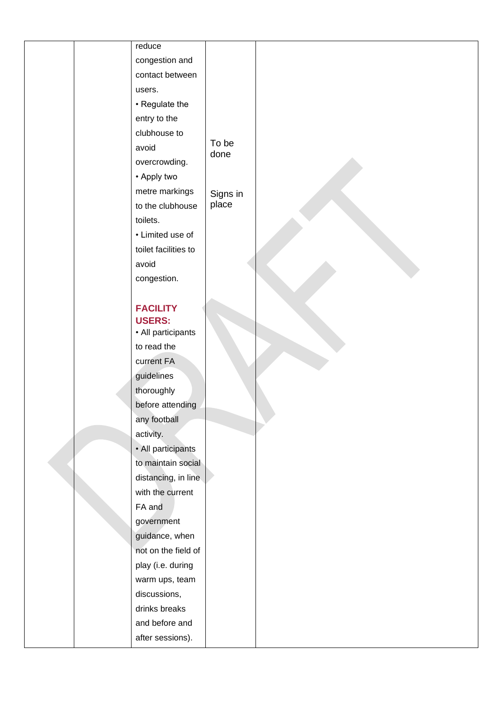| reduce                                   |          |  |
|------------------------------------------|----------|--|
| congestion and                           |          |  |
| contact between                          |          |  |
| users.                                   |          |  |
| • Regulate the                           |          |  |
| entry to the                             |          |  |
| clubhouse to                             |          |  |
| avoid                                    | To be    |  |
| overcrowding.                            | done     |  |
| • Apply two                              |          |  |
| metre markings                           | Signs in |  |
| to the clubhouse                         | place    |  |
| toilets.                                 |          |  |
| • Limited use of                         |          |  |
| toilet facilities to                     |          |  |
| avoid                                    |          |  |
| congestion.                              |          |  |
|                                          |          |  |
| <b>FACILITY</b>                          |          |  |
| <b>USERS:</b>                            |          |  |
| • All participants                       |          |  |
| to read the                              |          |  |
| current FA                               |          |  |
| guidelines                               |          |  |
| thoroughly                               |          |  |
| before attending                         |          |  |
| any football                             |          |  |
| activity.                                |          |  |
| • All participants<br>to maintain social |          |  |
| distancing, in line                      |          |  |
| with the current                         |          |  |
| FA and                                   |          |  |
| government                               |          |  |
| guidance, when                           |          |  |
| not on the field of                      |          |  |
| play (i.e. during                        |          |  |
| warm ups, team                           |          |  |
| discussions,                             |          |  |
| drinks breaks                            |          |  |
| and before and                           |          |  |
| after sessions).                         |          |  |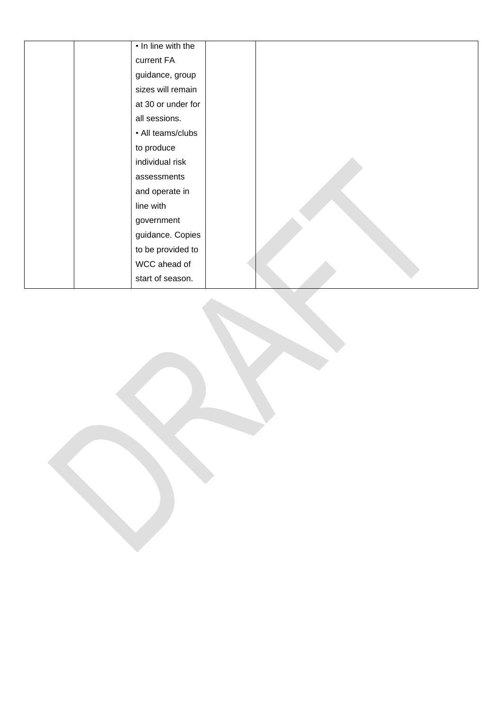| • In line with the |  |
|--------------------|--|
| current FA         |  |
| guidance, group    |  |
| sizes will remain  |  |
| at 30 or under for |  |
| all sessions.      |  |
| • All teams/clubs  |  |
| to produce         |  |
| individual risk    |  |
| assessments        |  |
| and operate in     |  |
| line with          |  |
| government         |  |
| guidance. Copies   |  |
| to be provided to  |  |
| WCC ahead of       |  |
| start of season.   |  |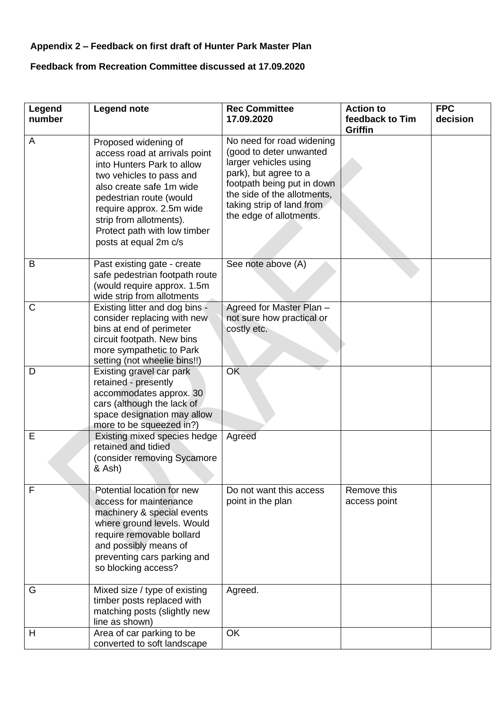## **Appendix 2 – Feedback on first draft of Hunter Park Master Plan**

# **Feedback from Recreation Committee discussed at 17.09.2020**

| Legend<br>number | <b>Legend note</b>                                                                                                                                                                                                                                                                      | <b>Rec Committee</b><br>17.09.2020                                                                                                                                                                                          | <b>Action to</b><br>feedback to Tim<br><b>Griffin</b> | <b>FPC</b><br>decision |
|------------------|-----------------------------------------------------------------------------------------------------------------------------------------------------------------------------------------------------------------------------------------------------------------------------------------|-----------------------------------------------------------------------------------------------------------------------------------------------------------------------------------------------------------------------------|-------------------------------------------------------|------------------------|
| A                | Proposed widening of<br>access road at arrivals point<br>into Hunters Park to allow<br>two vehicles to pass and<br>also create safe 1m wide<br>pedestrian route (would<br>require approx. 2.5m wide<br>strip from allotments).<br>Protect path with low timber<br>posts at equal 2m c/s | No need for road widening<br>(good to deter unwanted<br>larger vehicles using<br>park), but agree to a<br>footpath being put in down<br>the side of the allotments.<br>taking strip of land from<br>the edge of allotments. |                                                       |                        |
| B                | Past existing gate - create<br>safe pedestrian footpath route<br>(would require approx. 1.5m)<br>wide strip from allotments                                                                                                                                                             | See note above (A)                                                                                                                                                                                                          |                                                       |                        |
| C                | Existing litter and dog bins -<br>consider replacing with new<br>bins at end of perimeter<br>circuit footpath. New bins<br>more sympathetic to Park<br>setting (not wheelie bins!!)                                                                                                     | Agreed for Master Plan -<br>not sure how practical or<br>costly etc.                                                                                                                                                        |                                                       |                        |
| D                | Existing gravel car park<br>retained - presently<br>accommodates approx. 30<br>cars (although the lack of<br>space designation may allow<br>more to be squeezed in?)                                                                                                                    | <b>OK</b>                                                                                                                                                                                                                   |                                                       |                        |
| Е                | Existing mixed species hedge<br>retained and tidied<br>(consider removing Sycamore<br>& Ash)                                                                                                                                                                                            | Agreed                                                                                                                                                                                                                      |                                                       |                        |
| F                | Potential location for new<br>access for maintenance<br>machinery & special events<br>where ground levels. Would<br>require removable bollard<br>and possibly means of<br>preventing cars parking and<br>so blocking access?                                                            | Do not want this access<br>point in the plan                                                                                                                                                                                | Remove this<br>access point                           |                        |
| G                | Mixed size / type of existing<br>timber posts replaced with<br>matching posts (slightly new<br>line as shown)                                                                                                                                                                           | Agreed.                                                                                                                                                                                                                     |                                                       |                        |
| Н                | Area of car parking to be<br>converted to soft landscape                                                                                                                                                                                                                                | OK                                                                                                                                                                                                                          |                                                       |                        |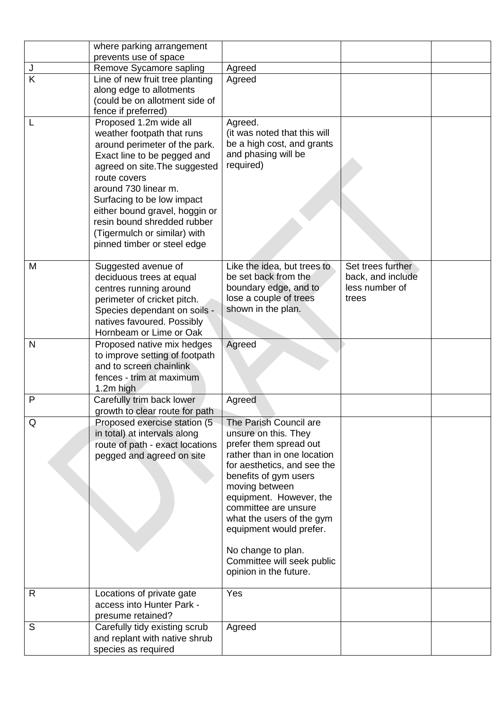|              | where parking arrangement                                                                                                                                                                                                                                                                                                                                   |                                                                                                                                                                                                                                                                                                                                                                            |                                                                   |  |
|--------------|-------------------------------------------------------------------------------------------------------------------------------------------------------------------------------------------------------------------------------------------------------------------------------------------------------------------------------------------------------------|----------------------------------------------------------------------------------------------------------------------------------------------------------------------------------------------------------------------------------------------------------------------------------------------------------------------------------------------------------------------------|-------------------------------------------------------------------|--|
|              | prevents use of space                                                                                                                                                                                                                                                                                                                                       |                                                                                                                                                                                                                                                                                                                                                                            |                                                                   |  |
| J            | Remove Sycamore sapling                                                                                                                                                                                                                                                                                                                                     | Agreed                                                                                                                                                                                                                                                                                                                                                                     |                                                                   |  |
| K            | Line of new fruit tree planting<br>along edge to allotments<br>(could be on allotment side of<br>fence if preferred)                                                                                                                                                                                                                                        | Agreed                                                                                                                                                                                                                                                                                                                                                                     |                                                                   |  |
|              | Proposed 1.2m wide all<br>weather footpath that runs<br>around perimeter of the park.<br>Exact line to be pegged and<br>agreed on site. The suggested<br>route covers<br>around 730 linear m.<br>Surfacing to be low impact<br>either bound gravel, hoggin or<br>resin bound shredded rubber<br>(Tigermulch or similar) with<br>pinned timber or steel edge | Agreed.<br>(it was noted that this will<br>be a high cost, and grants<br>and phasing will be<br>required)                                                                                                                                                                                                                                                                  |                                                                   |  |
| M            | Suggested avenue of<br>deciduous trees at equal<br>centres running around<br>perimeter of cricket pitch.<br>Species dependant on soils -<br>natives favoured. Possibly<br>Hornbeam or Lime or Oak                                                                                                                                                           | Like the idea, but trees to<br>be set back from the<br>boundary edge, and to<br>lose a couple of trees<br>shown in the plan.                                                                                                                                                                                                                                               | Set trees further<br>back, and include<br>less number of<br>trees |  |
| N            | Proposed native mix hedges<br>to improve setting of footpath<br>and to screen chainlink<br>fences - trim at maximum<br>1.2m high                                                                                                                                                                                                                            | Agreed                                                                                                                                                                                                                                                                                                                                                                     |                                                                   |  |
| $\mathsf{P}$ | Carefully trim back lower<br>growth to clear route for path                                                                                                                                                                                                                                                                                                 | Agreed                                                                                                                                                                                                                                                                                                                                                                     |                                                                   |  |
| Q            | Proposed exercise station (5<br>in total) at intervals along<br>route of path - exact locations<br>pegged and agreed on site                                                                                                                                                                                                                                | The Parish Council are<br>unsure on this. They<br>prefer them spread out<br>rather than in one location<br>for aesthetics, and see the<br>benefits of gym users<br>moving between<br>equipment. However, the<br>committee are unsure<br>what the users of the gym<br>equipment would prefer.<br>No change to plan.<br>Committee will seek public<br>opinion in the future. |                                                                   |  |
| R            | Locations of private gate<br>access into Hunter Park -<br>presume retained?                                                                                                                                                                                                                                                                                 | Yes                                                                                                                                                                                                                                                                                                                                                                        |                                                                   |  |
| S            | Carefully tidy existing scrub<br>and replant with native shrub<br>species as required                                                                                                                                                                                                                                                                       | Agreed                                                                                                                                                                                                                                                                                                                                                                     |                                                                   |  |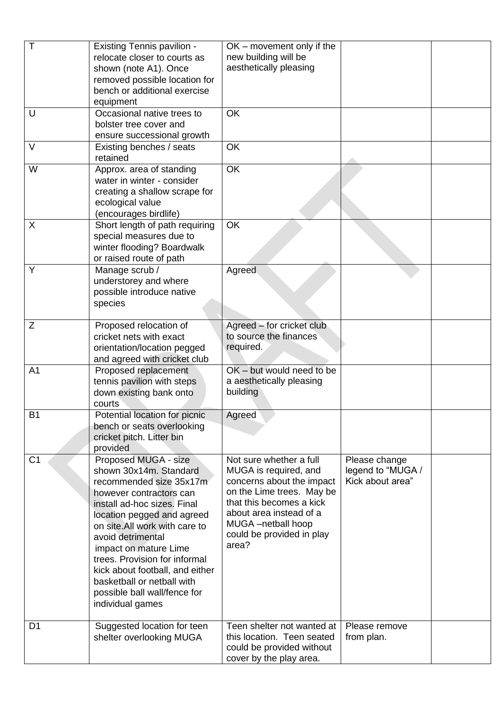| $\mathsf T$    | <b>Existing Tennis pavilion -</b><br>relocate closer to courts as<br>shown (note A1). Once<br>removed possible location for<br>bench or additional exercise<br>equipment                                                                                                                                                                                                                               | OK - movement only if the<br>new building will be<br>aesthetically pleasing                                                                                                                                                   |                                                        |  |
|----------------|--------------------------------------------------------------------------------------------------------------------------------------------------------------------------------------------------------------------------------------------------------------------------------------------------------------------------------------------------------------------------------------------------------|-------------------------------------------------------------------------------------------------------------------------------------------------------------------------------------------------------------------------------|--------------------------------------------------------|--|
| U              | Occasional native trees to<br>bolster tree cover and<br>ensure successional growth                                                                                                                                                                                                                                                                                                                     | OK                                                                                                                                                                                                                            |                                                        |  |
| $\vee$         | Existing benches / seats<br>retained                                                                                                                                                                                                                                                                                                                                                                   | OK                                                                                                                                                                                                                            |                                                        |  |
| W              | Approx. area of standing<br>water in winter - consider<br>creating a shallow scrape for<br>ecological value<br>(encourages birdlife)                                                                                                                                                                                                                                                                   | <b>OK</b>                                                                                                                                                                                                                     |                                                        |  |
| X              | Short length of path requiring<br>special measures due to<br>winter flooding? Boardwalk<br>or raised route of path                                                                                                                                                                                                                                                                                     | OK                                                                                                                                                                                                                            |                                                        |  |
| Y              | Manage scrub /<br>understorey and where<br>possible introduce native<br>species                                                                                                                                                                                                                                                                                                                        | Agreed                                                                                                                                                                                                                        |                                                        |  |
| Ζ              | Proposed relocation of<br>cricket nets with exact<br>orientation/location pegged<br>and agreed with cricket club                                                                                                                                                                                                                                                                                       | Agreed – for cricket club<br>to source the finances<br>required.                                                                                                                                                              |                                                        |  |
| A <sub>1</sub> | Proposed replacement<br>tennis pavilion with steps<br>down existing bank onto<br>courts                                                                                                                                                                                                                                                                                                                | OK - but would need to be<br>a aesthetically pleasing<br>building                                                                                                                                                             |                                                        |  |
| <b>B1</b>      | Potential location for picnic<br>bench or seats overlooking<br>cricket pitch. Litter bin<br>provided                                                                                                                                                                                                                                                                                                   | Agreed                                                                                                                                                                                                                        |                                                        |  |
| C <sub>1</sub> | Proposed MUGA - size<br>shown 30x14m. Standard<br>recommended size 35x17m<br>however contractors can<br>install ad-hoc sizes. Final<br>location pegged and agreed<br>on site.All work with care to<br>avoid detrimental<br>impact on mature Lime<br>trees. Provision for informal<br>kick about football, and either<br>basketball or netball with<br>possible ball wall/fence for<br>individual games | Not sure whether a full<br>MUGA is required, and<br>concerns about the impact<br>on the Lime trees. May be<br>that this becomes a kick<br>about area instead of a<br>MUGA -netball hoop<br>could be provided in play<br>area? | Please change<br>legend to "MUGA /<br>Kick about area" |  |
| D <sub>1</sub> | Suggested location for teen<br>shelter overlooking MUGA                                                                                                                                                                                                                                                                                                                                                | Teen shelter not wanted at<br>this location. Teen seated<br>could be provided without<br>cover by the play area.                                                                                                              | Please remove<br>from plan.                            |  |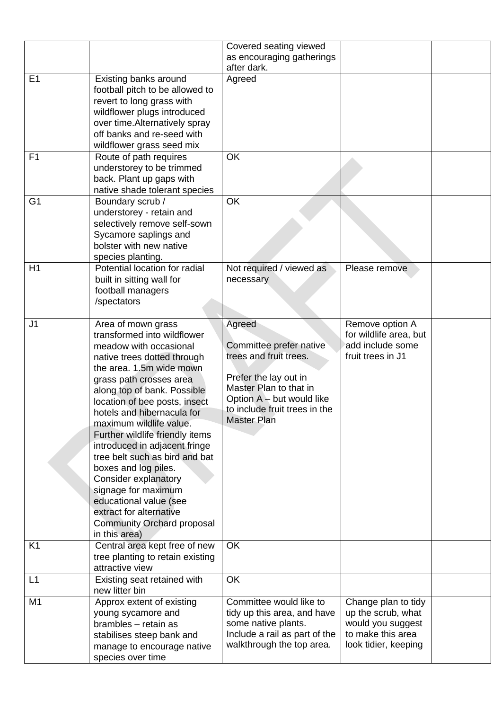|                |                                                                                                                                                                                                                                                                                                                                                                                                                                                                                                                                                                                           | Covered seating viewed<br>as encouraging gatherings<br>after dark.                                                                                                                                 |                                                                                                             |  |
|----------------|-------------------------------------------------------------------------------------------------------------------------------------------------------------------------------------------------------------------------------------------------------------------------------------------------------------------------------------------------------------------------------------------------------------------------------------------------------------------------------------------------------------------------------------------------------------------------------------------|----------------------------------------------------------------------------------------------------------------------------------------------------------------------------------------------------|-------------------------------------------------------------------------------------------------------------|--|
| E <sub>1</sub> | Existing banks around<br>football pitch to be allowed to<br>revert to long grass with<br>wildflower plugs introduced<br>over time. Alternatively spray<br>off banks and re-seed with<br>wildflower grass seed mix                                                                                                                                                                                                                                                                                                                                                                         | Agreed                                                                                                                                                                                             |                                                                                                             |  |
| F <sub>1</sub> | Route of path requires<br>understorey to be trimmed<br>back. Plant up gaps with<br>native shade tolerant species                                                                                                                                                                                                                                                                                                                                                                                                                                                                          | <b>OK</b>                                                                                                                                                                                          |                                                                                                             |  |
| G <sub>1</sub> | Boundary scrub /<br>understorey - retain and<br>selectively remove self-sown<br>Sycamore saplings and<br>bolster with new native<br>species planting.                                                                                                                                                                                                                                                                                                                                                                                                                                     | <b>OK</b>                                                                                                                                                                                          |                                                                                                             |  |
| H1             | Potential location for radial<br>built in sitting wall for<br>football managers<br>/spectators                                                                                                                                                                                                                                                                                                                                                                                                                                                                                            | Not required / viewed as<br>necessary                                                                                                                                                              | Please remove                                                                                               |  |
| J <sub>1</sub> | Area of mown grass<br>transformed into wildflower<br>meadow with occasional<br>native trees dotted through<br>the area. 1.5m wide mown<br>grass path crosses area<br>along top of bank. Possible<br>location of bee posts, insect<br>hotels and hibernacula for<br>maximum wildlife value.<br>Further wildlife friendly items<br>introduced in adjacent fringe<br>tree belt such as bird and bat<br>boxes and log piles.<br><b>Consider explanatory</b><br>signage for maximum<br>educational value (see<br>extract for alternative<br><b>Community Orchard proposal</b><br>in this area) | Agreed<br>Committee prefer native<br>trees and fruit trees.<br>Prefer the lay out in<br>Master Plan to that in<br>Option A - but would like<br>to include fruit trees in the<br><b>Master Plan</b> | Remove option A<br>for wildlife area, but<br>add include some<br>fruit trees in J1                          |  |
| K <sub>1</sub> | Central area kept free of new<br>tree planting to retain existing<br>attractive view                                                                                                                                                                                                                                                                                                                                                                                                                                                                                                      | <b>OK</b>                                                                                                                                                                                          |                                                                                                             |  |
| L1             | Existing seat retained with<br>new litter bin                                                                                                                                                                                                                                                                                                                                                                                                                                                                                                                                             | <b>OK</b>                                                                                                                                                                                          |                                                                                                             |  |
| M <sub>1</sub> | Approx extent of existing<br>young sycamore and<br>brambles - retain as<br>stabilises steep bank and<br>manage to encourage native<br>species over time                                                                                                                                                                                                                                                                                                                                                                                                                                   | Committee would like to<br>tidy up this area, and have<br>some native plants.<br>Include a rail as part of the<br>walkthrough the top area.                                                        | Change plan to tidy<br>up the scrub, what<br>would you suggest<br>to make this area<br>look tidier, keeping |  |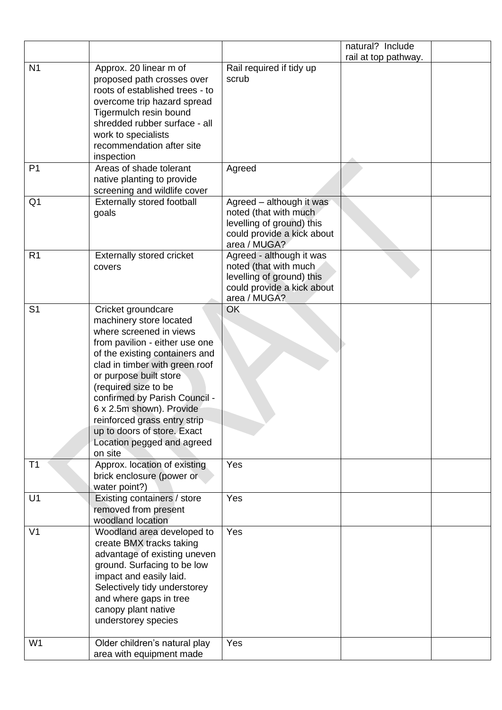|                |                                                                                                                                                                                                                                                                                                                                                                                                       |                                                                                                                              | natural? Include     |
|----------------|-------------------------------------------------------------------------------------------------------------------------------------------------------------------------------------------------------------------------------------------------------------------------------------------------------------------------------------------------------------------------------------------------------|------------------------------------------------------------------------------------------------------------------------------|----------------------|
|                |                                                                                                                                                                                                                                                                                                                                                                                                       |                                                                                                                              | rail at top pathway. |
| N <sub>1</sub> | Approx. 20 linear m of<br>proposed path crosses over<br>roots of established trees - to<br>overcome trip hazard spread<br>Tigermulch resin bound<br>shredded rubber surface - all<br>work to specialists<br>recommendation after site<br>inspection                                                                                                                                                   | Rail required if tidy up<br>scrub                                                                                            |                      |
| P <sub>1</sub> | Areas of shade tolerant<br>native planting to provide<br>screening and wildlife cover                                                                                                                                                                                                                                                                                                                 | Agreed                                                                                                                       |                      |
| Q <sub>1</sub> | Externally stored football<br>goals                                                                                                                                                                                                                                                                                                                                                                   | Agreed - although it was<br>noted (that with much<br>levelling of ground) this<br>could provide a kick about<br>area / MUGA? |                      |
| R <sub>1</sub> | <b>Externally stored cricket</b><br>covers                                                                                                                                                                                                                                                                                                                                                            | Agreed - although it was<br>noted (that with much<br>levelling of ground) this<br>could provide a kick about<br>area / MUGA? |                      |
| S <sub>1</sub> | Cricket groundcare<br>machinery store located<br>where screened in views<br>from pavilion - either use one<br>of the existing containers and<br>clad in timber with green roof<br>or purpose built store<br>(required size to be<br>confirmed by Parish Council -<br>6 x 2.5m shown). Provide<br>reinforced grass entry strip<br>up to doors of store. Exact<br>Location pegged and agreed<br>on site | OK                                                                                                                           |                      |
| T1             | Approx. location of existing<br>brick enclosure (power or<br>water point?)                                                                                                                                                                                                                                                                                                                            | Yes                                                                                                                          |                      |
| U1             | Existing containers / store<br>removed from present<br>woodland location                                                                                                                                                                                                                                                                                                                              | Yes                                                                                                                          |                      |
| V <sub>1</sub> | Woodland area developed to<br>create BMX tracks taking<br>advantage of existing uneven<br>ground. Surfacing to be low<br>impact and easily laid.<br>Selectively tidy understorey<br>and where gaps in tree<br>canopy plant native<br>understorey species                                                                                                                                              | Yes                                                                                                                          |                      |
| W <sub>1</sub> | Older children's natural play<br>area with equipment made                                                                                                                                                                                                                                                                                                                                             | Yes                                                                                                                          |                      |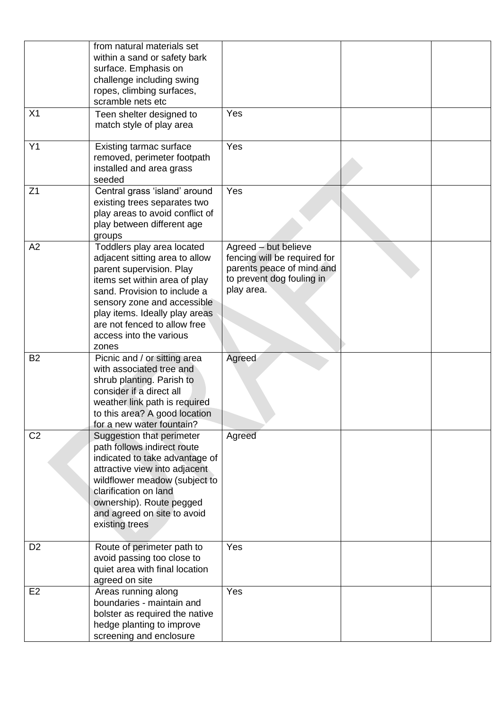|                | from natural materials set<br>within a sand or safety bark      |                                                      |  |
|----------------|-----------------------------------------------------------------|------------------------------------------------------|--|
|                | surface. Emphasis on                                            |                                                      |  |
|                | challenge including swing                                       |                                                      |  |
|                | ropes, climbing surfaces,                                       |                                                      |  |
|                | scramble nets etc                                               |                                                      |  |
| X <sub>1</sub> | Teen shelter designed to                                        | Yes                                                  |  |
|                | match style of play area                                        |                                                      |  |
| Y1             | Existing tarmac surface                                         | Yes                                                  |  |
|                | removed, perimeter footpath                                     |                                                      |  |
|                | installed and area grass                                        |                                                      |  |
|                | seeded                                                          |                                                      |  |
| Z <sub>1</sub> | Central grass 'island' around                                   | Yes                                                  |  |
|                | existing trees separates two                                    |                                                      |  |
|                | play areas to avoid conflict of                                 |                                                      |  |
|                | play between different age                                      |                                                      |  |
|                | groups                                                          |                                                      |  |
| A2             | Toddlers play area located<br>adjacent sitting area to allow    | Agreed - but believe<br>fencing will be required for |  |
|                | parent supervision. Play                                        | parents peace of mind and                            |  |
|                | items set within area of play                                   | to prevent dog fouling in                            |  |
|                | sand. Provision to include a                                    | play area.                                           |  |
|                | sensory zone and accessible                                     |                                                      |  |
|                | play items. Ideally play areas                                  |                                                      |  |
|                | are not fenced to allow free                                    |                                                      |  |
|                | access into the various                                         |                                                      |  |
|                | zones                                                           |                                                      |  |
| <b>B2</b>      | Picnic and / or sitting area<br>with associated tree and        | Agreed                                               |  |
|                | shrub planting. Parish to                                       |                                                      |  |
|                | consider if a direct all                                        |                                                      |  |
|                | weather link path is required                                   |                                                      |  |
|                | to this area? A good location                                   |                                                      |  |
|                | for a new water fountain?                                       |                                                      |  |
| C <sub>2</sub> | Suggestion that perimeter                                       | Agreed                                               |  |
|                | path follows indirect route                                     |                                                      |  |
|                | indicated to take advantage of<br>attractive view into adjacent |                                                      |  |
|                | wildflower meadow (subject to                                   |                                                      |  |
|                | clarification on land                                           |                                                      |  |
|                | ownership). Route pegged                                        |                                                      |  |
|                | and agreed on site to avoid                                     |                                                      |  |
|                | existing trees                                                  |                                                      |  |
|                |                                                                 |                                                      |  |
| D <sub>2</sub> | Route of perimeter path to                                      | Yes                                                  |  |
|                | avoid passing too close to                                      |                                                      |  |
|                | quiet area with final location                                  |                                                      |  |
| E <sub>2</sub> | agreed on site<br>Areas running along                           | Yes                                                  |  |
|                | boundaries - maintain and                                       |                                                      |  |
|                | bolster as required the native                                  |                                                      |  |
|                | hedge planting to improve                                       |                                                      |  |
|                | screening and enclosure                                         |                                                      |  |